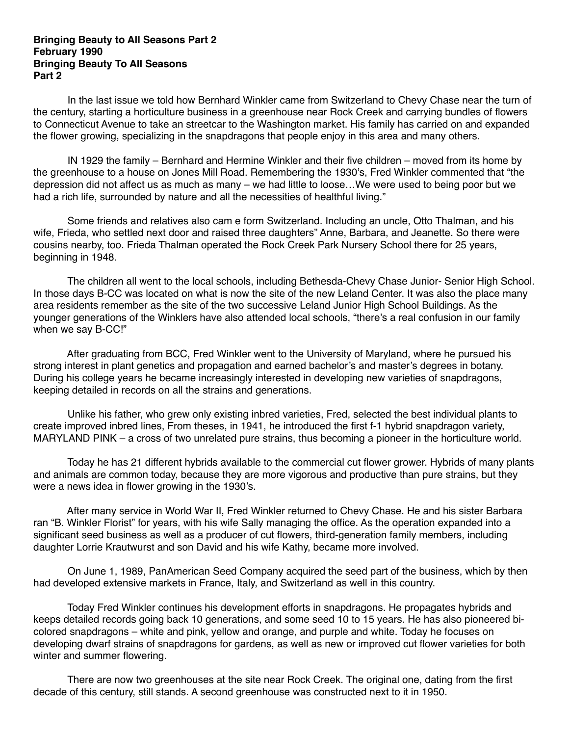## **Bringing Beauty to All Seasons Part 2 February 1990 Bringing Beauty To All Seasons Part 2**

 In the last issue we told how Bernhard Winkler came from Switzerland to Chevy Chase near the turn of the century, starting a horticulture business in a greenhouse near Rock Creek and carrying bundles of flowers to Connecticut Avenue to take an streetcar to the Washington market. His family has carried on and expanded the flower growing, specializing in the snapdragons that people enjoy in this area and many others.

 IN 1929 the family – Bernhard and Hermine Winkler and their five children – moved from its home by the greenhouse to a house on Jones Mill Road. Remembering the 1930's, Fred Winkler commented that "the depression did not affect us as much as many – we had little to loose…We were used to being poor but we had a rich life, surrounded by nature and all the necessities of healthful living."

 Some friends and relatives also cam e form Switzerland. Including an uncle, Otto Thalman, and his wife, Frieda, who settled next door and raised three daughters" Anne, Barbara, and Jeanette. So there were cousins nearby, too. Frieda Thalman operated the Rock Creek Park Nursery School there for 25 years, beginning in 1948.

 The children all went to the local schools, including Bethesda-Chevy Chase Junior- Senior High School. In those days B-CC was located on what is now the site of the new Leland Center. It was also the place many area residents remember as the site of the two successive Leland Junior High School Buildings. As the younger generations of the Winklers have also attended local schools, "there's a real confusion in our family when we say B-CC!"

 After graduating from BCC, Fred Winkler went to the University of Maryland, where he pursued his strong interest in plant genetics and propagation and earned bachelor's and master's degrees in botany. During his college years he became increasingly interested in developing new varieties of snapdragons, keeping detailed in records on all the strains and generations.

 Unlike his father, who grew only existing inbred varieties, Fred, selected the best individual plants to create improved inbred lines, From theses, in 1941, he introduced the first f-1 hybrid snapdragon variety, MARYLAND PINK – a cross of two unrelated pure strains, thus becoming a pioneer in the horticulture world.

 Today he has 21 different hybrids available to the commercial cut flower grower. Hybrids of many plants and animals are common today, because they are more vigorous and productive than pure strains, but they were a news idea in flower growing in the 1930's.

 After many service in World War II, Fred Winkler returned to Chevy Chase. He and his sister Barbara ran "B. Winkler Florist" for years, with his wife Sally managing the office. As the operation expanded into a significant seed business as well as a producer of cut flowers, third-generation family members, including daughter Lorrie Krautwurst and son David and his wife Kathy, became more involved.

 On June 1, 1989, PanAmerican Seed Company acquired the seed part of the business, which by then had developed extensive markets in France, Italy, and Switzerland as well in this country.

 Today Fred Winkler continues his development efforts in snapdragons. He propagates hybrids and keeps detailed records going back 10 generations, and some seed 10 to 15 years. He has also pioneered bicolored snapdragons – white and pink, yellow and orange, and purple and white. Today he focuses on developing dwarf strains of snapdragons for gardens, as well as new or improved cut flower varieties for both winter and summer flowering.

 There are now two greenhouses at the site near Rock Creek. The original one, dating from the first decade of this century, still stands. A second greenhouse was constructed next to it in 1950.